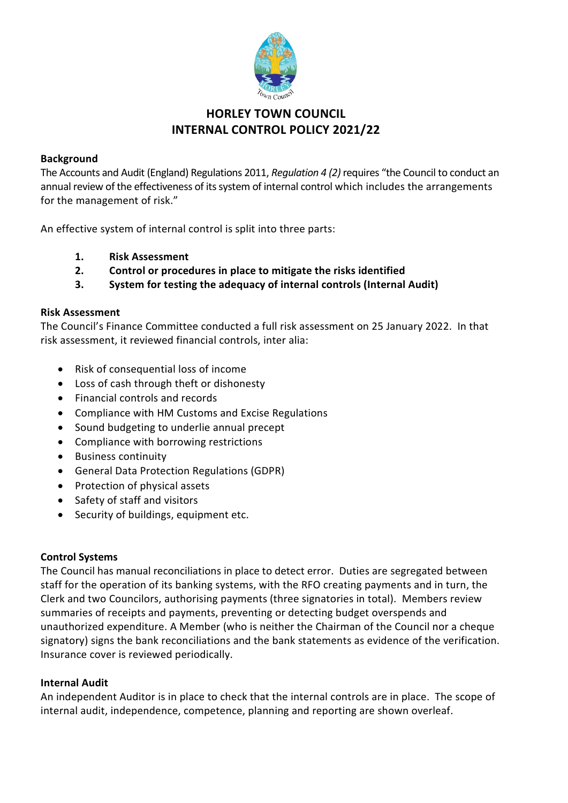

# **HORLEY TOWN COUNCIL INTERNAL CONTROL POLICY 2021/22**

### **Background**

The Accounts and Audit (England) Regulations 2011, *Regulation 4 (2)* requires "the Council to conduct an annual review of the effectiveness of its system of internal control which includes the arrangements for the management of risk."

An effective system of internal control is split into three parts:

- **1. Risk Assessment**
- **2. Control or procedures in place to mitigate the risks identified**
- **3. System for testing the adequacy of internal controls (Internal Audit)**

#### **Risk Assessment**

The Council's Finance Committee conducted a full risk assessment on 25 January 2022. In that risk assessment, it reviewed financial controls, inter alia:

- Risk of consequential loss of income
- Loss of cash through theft or dishonesty
- Financial controls and records
- Compliance with HM Customs and Excise Regulations
- Sound budgeting to underlie annual precept
- Compliance with borrowing restrictions
- Business continuity
- General Data Protection Regulations (GDPR)
- Protection of physical assets
- Safety of staff and visitors
- Security of buildings, equipment etc.

#### **Control Systems**

The Council has manual reconciliations in place to detect error. Duties are segregated between staff for the operation of its banking systems, with the RFO creating payments and in turn, the Clerk and two Councilors, authorising payments (three signatories in total). Members review summaries of receipts and payments, preventing or detecting budget overspends and unauthorized expenditure. A Member (who is neither the Chairman of the Council nor a cheque signatory) signs the bank reconciliations and the bank statements as evidence of the verification. Insurance cover is reviewed periodically.

#### **Internal Audit**

An independent Auditor is in place to check that the internal controls are in place. The scope of internal audit, independence, competence, planning and reporting are shown overleaf.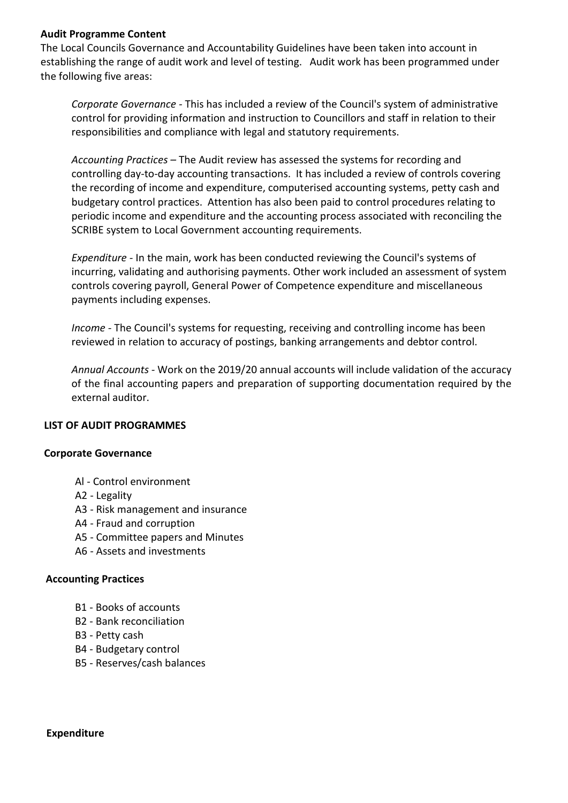#### **Audit Programme Content**

The Local Councils Governance and Accountability Guidelines have been taken into account in establishing the range of audit work and level of testing. Audit work has been programmed under the following five areas:

*Corporate Governance -* This has included a review of the Council's system of administrative control for providing information and instruction to Councillors and staff in relation to their responsibilities and compliance with legal and statutory requirements.

*Accounting Practices –* The Audit review has assessed the systems for recording and controlling day-to-day accounting transactions. It has included a review of controls covering the recording of income and expenditure, computerised accounting systems, petty cash and budgetary control practices. Attention has also been paid to control procedures relating to periodic income and expenditure and the accounting process associated with reconciling the SCRIBE system to Local Government accounting requirements.

*Expenditure -* In the main, work has been conducted reviewing the Council's systems of incurring, validating and authorising payments. Other work included an assessment of system controls covering payroll, General Power of Competence expenditure and miscellaneous payments including expenses.

*Income -* The Council's systems for requesting, receiving and controlling income has been reviewed in relation to accuracy of postings, banking arrangements and debtor control.

*Annual Accounts -* Work on the 2019/20 annual accounts will include validation of the accuracy of the final accounting papers and preparation of supporting documentation required by the external auditor.

#### **LIST OF AUDIT PROGRAMMES**

#### **Corporate Governance**

- Al Control environment
- A2 Legality
- A3 Risk management and insurance
- A4 Fraud and corruption
- A5 Committee papers and Minutes
- A6 Assets and investments

#### **Accounting Practices**

- B1 Books of accounts
- B2 Bank reconciliation
- B3 Petty cash
- B4 Budgetary control
- B5 Reserves/cash balances

**Expenditure**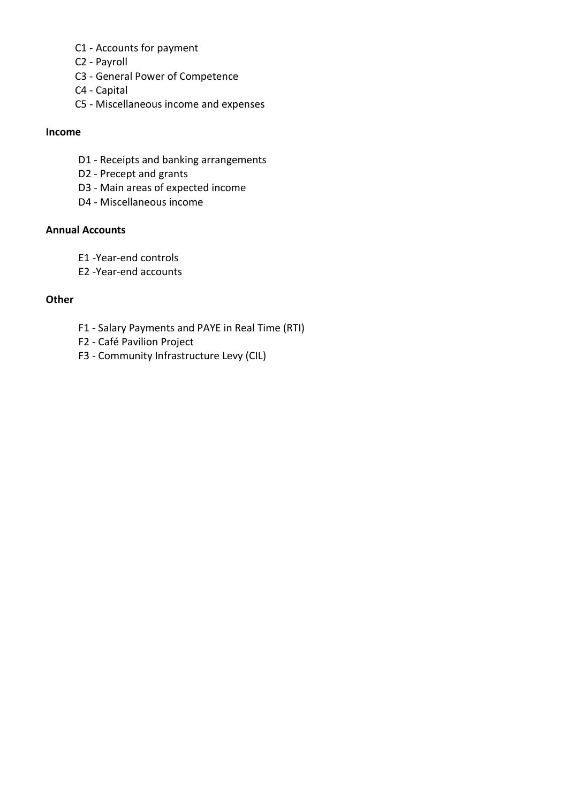- C1 Accounts for payment
- C2 Payroll
- C3 General Power of Competence
- C4 Capital
- C5 Miscellaneous income and expenses

#### **Income**

- D1 Receipts and banking arrangements
- D2 Precept and grants
- D3 Main areas of expected income
- D4 Miscellaneous income

# **Annual Accounts**

- E1 -Year-end controls
- E2 -Year-end accounts

## **Other**

- F1 Salary Payments and PAYE in Real Time (RTI)
- F2 Café Pavilion Project
- F3 Community Infrastructure Levy (CIL)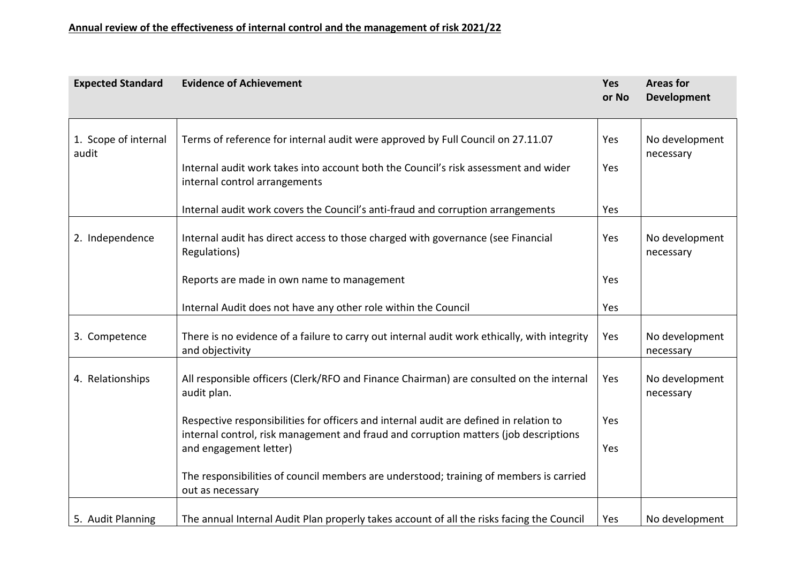| <b>Expected Standard</b>      | <b>Evidence of Achievement</b>                                                                                                                                                 | <b>Yes</b><br>or No | <b>Areas for</b><br><b>Development</b> |
|-------------------------------|--------------------------------------------------------------------------------------------------------------------------------------------------------------------------------|---------------------|----------------------------------------|
| 1. Scope of internal<br>audit | Terms of reference for internal audit were approved by Full Council on 27.11.07                                                                                                | Yes                 | No development<br>necessary            |
|                               | Internal audit work takes into account both the Council's risk assessment and wider<br>internal control arrangements                                                           | Yes                 |                                        |
|                               | Internal audit work covers the Council's anti-fraud and corruption arrangements                                                                                                | Yes                 |                                        |
| 2. Independence               | Internal audit has direct access to those charged with governance (see Financial<br>Regulations)                                                                               | Yes                 | No development<br>necessary            |
|                               | Reports are made in own name to management                                                                                                                                     | Yes                 |                                        |
|                               | Internal Audit does not have any other role within the Council                                                                                                                 | Yes                 |                                        |
| 3. Competence                 | There is no evidence of a failure to carry out internal audit work ethically, with integrity<br>and objectivity                                                                | Yes                 | No development<br>necessary            |
| 4. Relationships              | All responsible officers (Clerk/RFO and Finance Chairman) are consulted on the internal<br>audit plan.                                                                         | Yes                 | No development<br>necessary            |
|                               | Respective responsibilities for officers and internal audit are defined in relation to<br>internal control, risk management and fraud and corruption matters (job descriptions | Yes                 |                                        |
|                               | and engagement letter)                                                                                                                                                         | Yes                 |                                        |
|                               | The responsibilities of council members are understood; training of members is carried<br>out as necessary                                                                     |                     |                                        |
| 5. Audit Planning             | The annual Internal Audit Plan properly takes account of all the risks facing the Council                                                                                      | Yes                 | No development                         |